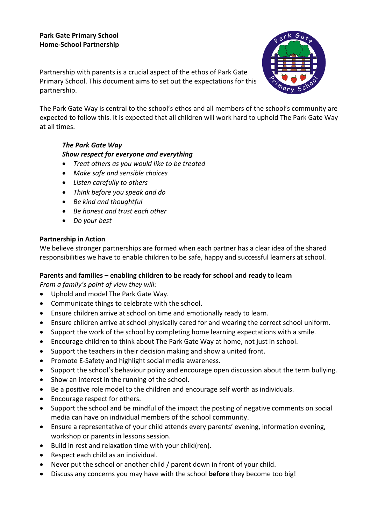### **Park Gate Primary School Home-School Partnership**

Partnership with parents is a crucial aspect of the ethos of Park Gate Primary School. This document aims to set out the expectations for this partnership.



The Park Gate Way is central to the school's ethos and all members of the school's community are expected to follow this. It is expected that all children will work hard to uphold The Park Gate Way at all times.

# *The Park Gate Way Show respect for everyone and everything*

- *Treat others as you would like to be treated*
- *Make safe and sensible choices*
- *Listen carefully to others*
- *Think before you speak and do*
- *Be kind and thoughtful*
- *Be honest and trust each other*
- *Do your best*

## **Partnership in Action**

We believe stronger partnerships are formed when each partner has a clear idea of the shared responsibilities we have to enable children to be safe, happy and successful learners at school.

### **Parents and families – enabling children to be ready for school and ready to learn**

*From a family's point of view they will:*

- Uphold and model The Park Gate Way.
- Communicate things to celebrate with the school.
- Ensure children arrive at school on time and emotionally ready to learn.
- Ensure children arrive at school physically cared for and wearing the correct school uniform.
- Support the work of the school by completing home learning expectations with a smile.
- Encourage children to think about The Park Gate Way at home, not just in school.
- Support the teachers in their decision making and show a united front.
- Promote E-Safety and highlight social media awareness.
- Support the school's behaviour policy and encourage open discussion about the term bullying.
- Show an interest in the running of the school.
- Be a positive role model to the children and encourage self worth as individuals.
- Encourage respect for others.
- Support the school and be mindful of the impact the posting of negative comments on social media can have on individual members of the school community.
- Ensure a representative of your child attends every parents' evening, information evening, workshop or parents in lessons session.
- Build in rest and relaxation time with your child(ren).
- Respect each child as an individual.
- Never put the school or another child / parent down in front of your child.
- Discuss any concerns you may have with the school **before** they become too big!